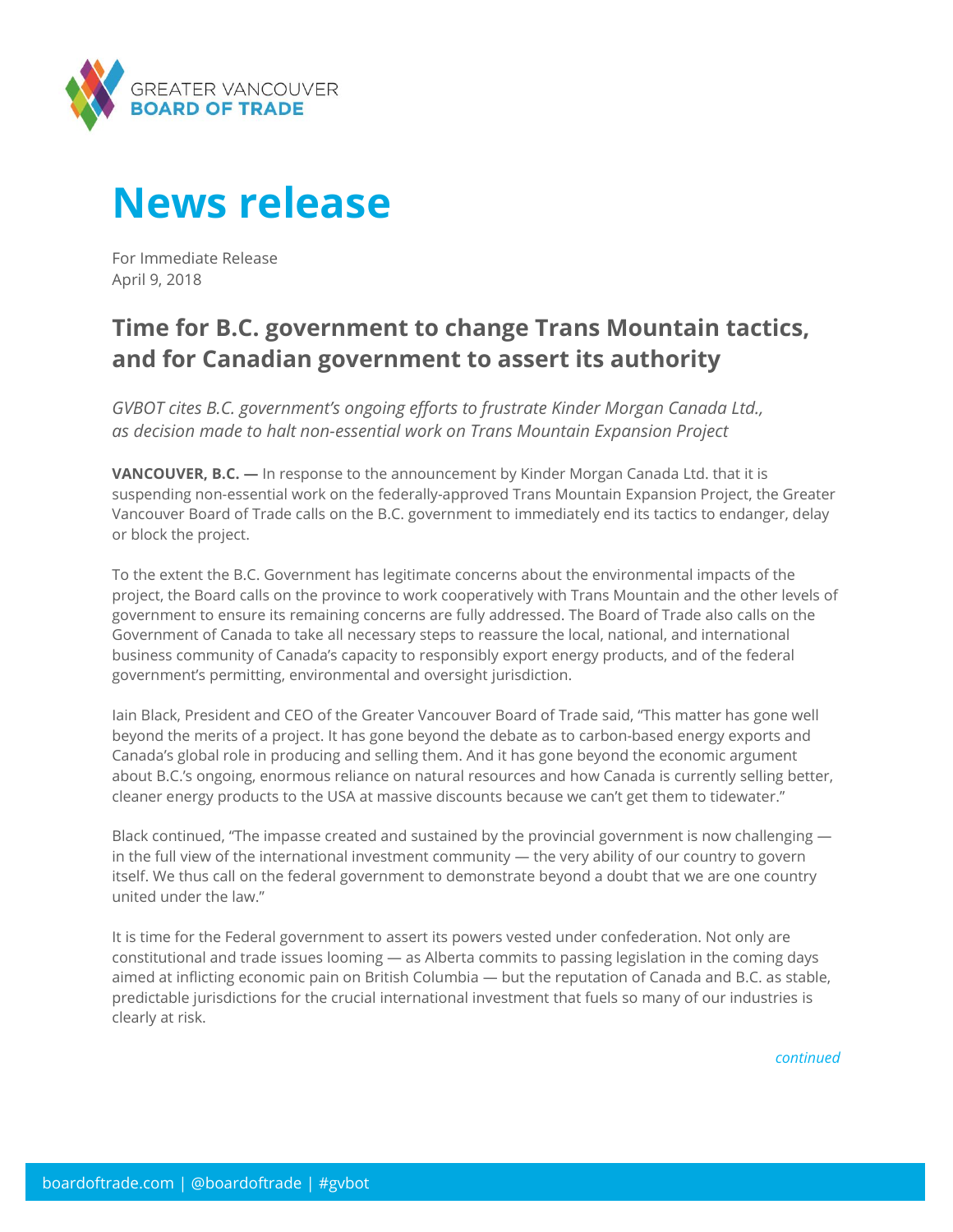

## **News release**

For Immediate Release April 9, 2018

## **Time for B.C. government to change Trans Mountain tactics, and for Canadian government to assert its authority**

*GVBOT cites B.C. government's ongoing efforts to frustrate Kinder Morgan Canada Ltd., as decision made to halt non-essential work on Trans Mountain Expansion Project*

**VANCOUVER, B.C. —** In response to the announcement by Kinder Morgan Canada Ltd. that it is suspending non-essential work on the federally-approved Trans Mountain Expansion Project, the Greater Vancouver Board of Trade calls on the B.C. government to immediately end its tactics to endanger, delay or block the project.

To the extent the B.C. Government has legitimate concerns about the environmental impacts of the project, the Board calls on the province to work cooperatively with Trans Mountain and the other levels of government to ensure its remaining concerns are fully addressed. The Board of Trade also calls on the Government of Canada to take all necessary steps to reassure the local, national, and international business community of Canada's capacity to responsibly export energy products, and of the federal government's permitting, environmental and oversight jurisdiction.

Iain Black, President and CEO of the Greater Vancouver Board of Trade said, "This matter has gone well beyond the merits of a project. It has gone beyond the debate as to carbon-based energy exports and Canada's global role in producing and selling them. And it has gone beyond the economic argument about B.C.'s ongoing, enormous reliance on natural resources and how Canada is currently selling better, cleaner energy products to the USA at massive discounts because we can't get them to tidewater."

Black continued, "The impasse created and sustained by the provincial government is now challenging in the full view of the international investment community — the very ability of our country to govern itself. We thus call on the federal government to demonstrate beyond a doubt that we are one country united under the law."

It is time for the Federal government to assert its powers vested under confederation. Not only are constitutional and trade issues looming — as Alberta commits to passing legislation in the coming days aimed at inflicting economic pain on British Columbia — but the reputation of Canada and B.C. as stable, predictable jurisdictions for the crucial international investment that fuels so many of our industries is clearly at risk.

*continued*